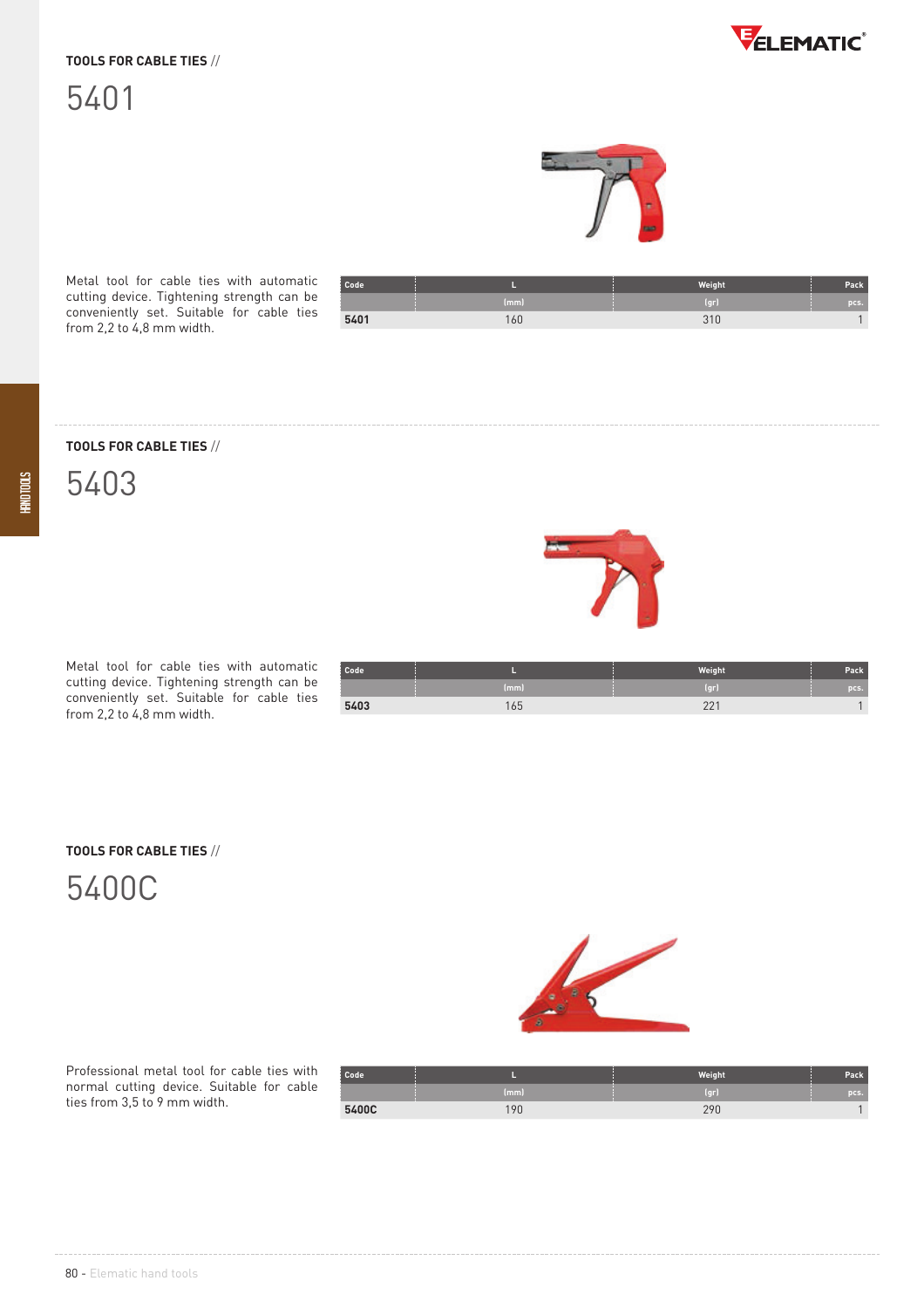### **TOOLS FOR CABLE TIES** //





Metal tool for cable ties with automatic cutting device. Tightening strength can be conveniently set. Suitable for cable ties from 2,2 to 4,8 mm width.

| Code |      | Weight       | Pack |
|------|------|--------------|------|
|      | (mm) | (qr)         | pcs. |
| 5401 | 160  | 210<br>ں ر د |      |

**TOOLS FOR CABLE TIES** //



Metal tool for cable ties with automatic cutting device. Tightening strength can be conveniently set. Suitable for cable ties from 2,2 to 4,8 mm width.

| Code <sup>1</sup> |      | Weight | Pack |
|-------------------|------|--------|------|
|                   | (mm) | (qr)   | pcs. |
| 5403              | 165  | 001    |      |

#### **TOOLS FOR CABLE TIES** //

## 5400C



Professional metal tool for cable ties with normal cutting device. Suitable for cable ties from 3,5 to 9 mm width.

| Code  |      | <b>Weight</b>     | Pack |
|-------|------|-------------------|------|
|       | (mm) | [ <sub>cr</sub> ] | pcs. |
| 5400C | l Or | 290               |      |